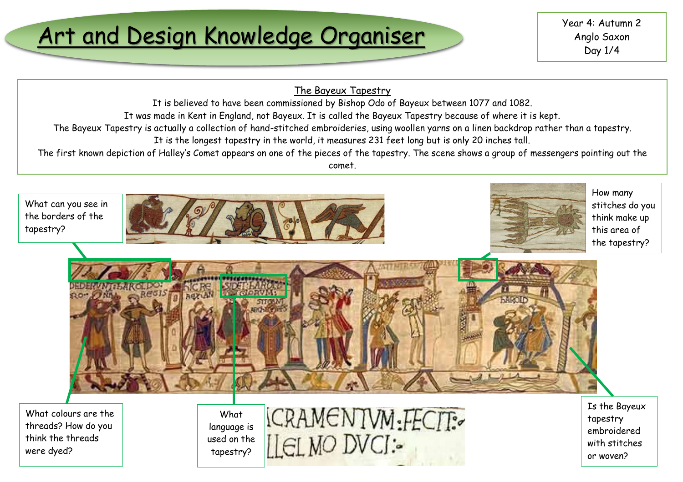# Art and Design Knowledge Organiser Wear 4: Autumn 2

### The Bayeux Tapestry

It is believed to have been commissioned by Bishop Odo of Bayeux between 1077 and 1082.

It was made in Kent in England, not Bayeux. It is called the Bayeux Tapestry because of where it is kept.

The Bayeux Tapestry is actually a collection of hand-stitched embroideries, using woollen yarns on a linen backdrop rather than a tapestry.

It is the longest tapestry in the world, it measures 231 feet long but is only 20 inches tall.

The first known depiction of Halley's Comet appears on one of the pieces of the tapestry. The scene shows a group of messengers pointing out the comet.

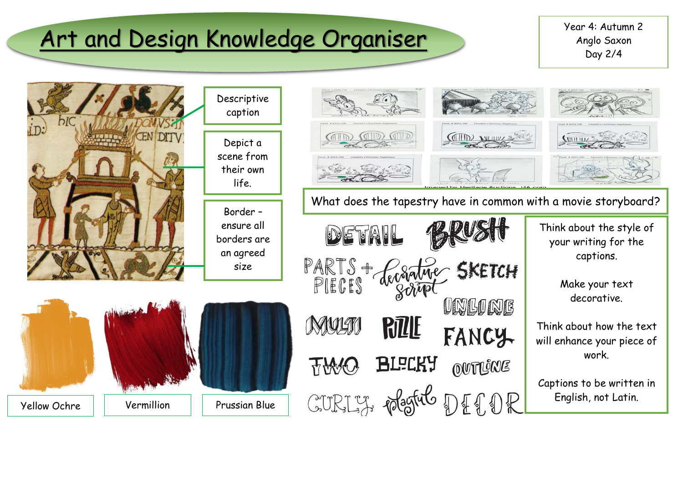# Art and Design Knowledge Organiser Wear 4: Autumn 2

Anglo Saxon Day 2/4

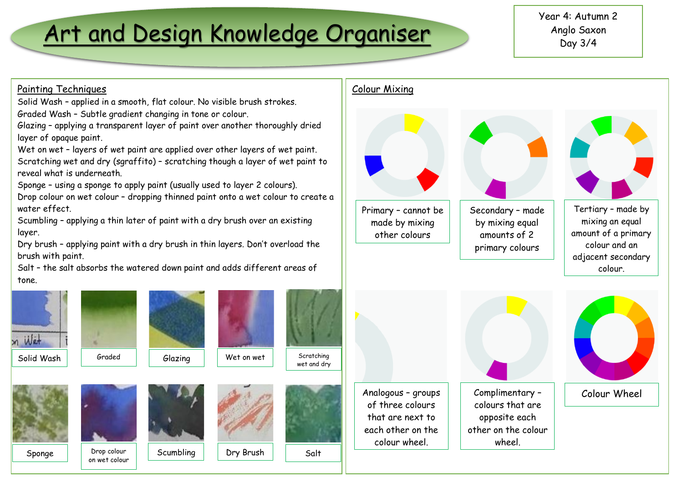### Art and Design Knowledge Organiser

### Painting Techniques

Solid Wash – applied in a smooth, flat colour. No visible brush strokes. Graded Wash – Subtle gradient changing in tone or colour.

Glazing – applying a transparent layer of paint over another thoroughly dried layer of opaque paint.

Wet on wet - layers of wet paint are applied over other layers of wet paint.

Scratching wet and dry (sgraffito) – scratching though a layer of wet paint to reveal what is underneath.

Sponge – using a sponge to apply paint (usually used to layer 2 colours).

Drop colour on wet colour – dropping thinned paint onto a wet colour to create a water effect.

Scumbling – applying a thin later of paint with a dry brush over an existing layer.

Dry brush – applying paint with a dry brush in thin layers. Don't overload the brush with paint.

Salt – the salt absorbs the watered down paint and adds different areas of tone.





other on the colour wheel.

Analogous – groups of three colours that are next to each other on the colour wheel.

Complimentary – colours that are opposite each Colour Wheel